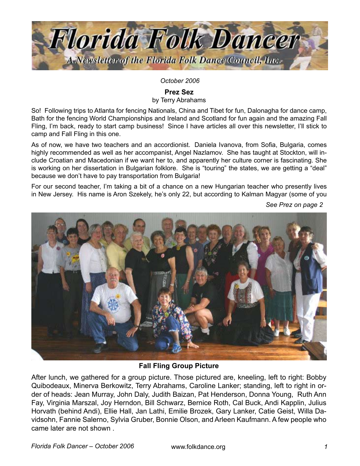

*October 2006*

**Prez Sez**

by Terry Abrahams

So! Following trips to Atlanta for fencing Nationals, China and Tibet for fun, Dalonagha for dance camp, Bath for the fencing World Championships and Ireland and Scotland for fun again and the amazing Fall Fling, I'm back, ready to start camp business! Since I have articles all over this newsletter, I'll stick to camp and Fall Fling in this one.

As of now, we have two teachers and an accordionist. Daniela Ivanova, from Sofia, Bulgaria, comes highly recommended as well as her accompanist, Angel Nazlamov. She has taught at Stockton, will include Croatian and Macedonian if we want her to, and apparently her culture corner is fascinating. She is working on her dissertation in Bulgarian folklore. She is "touring" the states, we are getting a "deal" because we don't have to pay transportation from Bulgaria!

For our second teacher, I'm taking a bit of a chance on a new Hungarian teacher who presently lives in New Jersey. His name is Aron Szekely, he's only 22, but according to Kalman Magyar (some of you

*See Prez on page* 



**Fall Fling Group Picture**

After lunch, we gathered for a group picture. Those pictured are, kneeling, left to right: Bobby Quibodeaux, Minerva Berkowitz, Terry Abrahams, Caroline Lanker; standing, left to right in order of heads: Jean Murray, John Daly, Judith Baizan, Pat Henderson, Donna Young, Ruth Ann Fay, Virginia Marszal, Joy Herndon, Bill Schwarz, Bernice Roth, Cal Buck, Andi Kapplin, Julius Horvath (behind Andi), Ellie Hall, Jan Lathi, Emilie Brozek, Gary Lanker, Catie Geist, Willa Davidsohn, Fannie Salerno, Sylvia Gruber, Bonnie Olson, and Arleen Kaufmann. A few people who came later are not shown .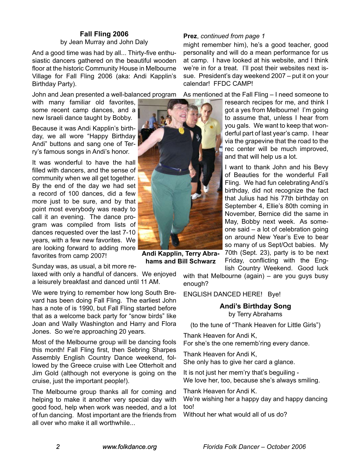And a good time was had by all... Thirty-five enthusiastic dancers gathered on the beautiful wooden floor at the historic Community House in Melbourne Village for Fall Fling 2006 (aka: Andi Kapplin's Birthday Party).

John and Jean presented a well-balanced program

with many familiar old favorites, some recent camp dances, and a new Israeli dance taught by Bobby.

Because it was Andi Kapplin's birthday, we all wore "Happy Birthday Andi" buttons and sang one of Terry's famous songs in Andi's honor.

It was wonderful to have the hall filled with dancers, and the sense of community when we all get together. By the end of the day we had set a record of 100 dances, did a few more just to be sure, and by that point most everybody was ready to call it an evening. The dance program was compiled from lists of dances requested over the last 7-10 years, with a few new favorites. We are looking forward to adding more favorites from camp 2007!

Sunday was, as usual, a bit more re-

laxed with only a handful of dancers. We enjoyed a leisurely breakfast and danced until 11 AM.

We were trying to remember how long South Brevard has been doing Fall Fling. The earliest John has a note of is 1990, but Fall Fling started before that as a welcome back party for "snow birds" like Joan and Wally Washington and Harry and Flora Jones. So we're approaching 20 years.

Most of the Melbourne group will be dancing fools this month! Fall Fling first, then Sebring Sharpes Assembly English Country Dance weekend, followed by the Greece cruise with Lee Otterholt and Jim Gold (although not everyone is going on the cruise, just the important people!).

The Melbourne group thanks all for coming and helping to make it another very special day with good food, help when work was needed, and a lot of fun dancing. Most important are the friends from all over who make it all worthwhile.



**Andi Kapplin, Terry Abrahams and Bill Schwarz**

# **Fall Fling 2006 Prez**, *continued from page*  by Jean Murray and John Daly

might remember him), he's a good teacher, good personality and will do a mean performance for us at camp. I have looked at his website, and I think we're in for a treat. I'll post their websites next issue. President's day weekend 2007 – put it on your calendar! FFDC CAMP!

As mentioned at the Fall Fling – I need someone to

research recipes for me, and think I got a yes from Melbourne! I'm going to assume that, unless I hear from you gals. We want to keep that wonderful part of last year's camp. I hear via the grapevine that the road to the rec center will be much improved, and that will help us a lot.

I want to thank John and his Bevy of Beauties for the wonderful Fall Fling. We had fun celebrating Andi's birthday, did not recognize the fact that Julius had his 77th birthday on September 4, Ellie's 80th coming in November, Bernice did the same in May, Bobby next week. As someone said – a lot of celebration going on around New Year's Eve to bear so many of us Sept/Oct babies. My 70th (Sept. 23), party is to be next Friday, conflicting with the English Country Weekend. Good luck

with that Melbourne (again) – are you guys busy enough?

ENGLISH DANCED HERE! Bye!

**Andi's Birthday Song** by Terry Abrahams

(to the tune of "Thank Heaven for Little Girls")

Thank Heaven for Andi K,

For she's the one rememb'ring every dance.

Thank Heaven for Andi K, She only has to give her card a glance.

It is not just her mem'ry that's beguiling - We love her, too, because she's always smiling.

Thank Heaven for Andi K.

We're wishing her a happy day and happy dancing too!

Without her what would all of us do?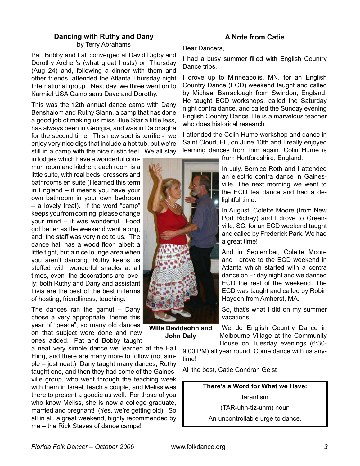# **Dancing with Ruthy and Dany** by Terry Abrahams

Pat, Bobby and I all converged at David Digby and Dorothy Archer's (what great hosts) on Thursday (Aug 24) and, following a dinner with them and other friends, attended the Atlanta Thursday night International group. Next day, we three went on to Karmiel USA Camp sans Dave and Dorothy.

This was the 12th annual dance camp with Dany Benshalom and Ruthy Slann, a camp that has done a good job of making us miss Blue Star a little less, has always been in Georgia, and was in Dalonagha for the second time. This new spot is terrific - we enjoy very nice digs that include a hot tub, but we're still in a camp with the nice rustic feel. We all stay

in lodges which have a wonderful common room and kitchen; each room is a little suite, with real beds, dressers and bathrooms en suite (I learned this term in England – it means you have your own bathroom in your own bedroom – a lovely treat). If the word "camp" keeps you from coming, please change your mind – it was wonderful. Food got better as the weekend went along, and the staff was very nice to us. The dance hall has a wood floor, albeit a little tight, but a nice lounge area when you aren't dancing, Ruthy keeps us stuffed with wonderful snacks at all times, even the decorations are lovely; both Ruthy and Dany and assistant Livia are the best of the best in terms of hosting, friendliness, teaching.

The dances ran the gamut  $-$  Dany chose a very appropriate theme this year of "peace", so many old dances on that subject were done and new ones added. Pat and Bobby taught

a neat very simple dance we learned at the Fall Fling, and there are many more to follow (not simple – just neat.) Dany taught many dances, Ruthy taught one, and then they had some of the Gainesville group, who went through the teaching week with them in Israel, teach a couple, and Meliss was there to present a goodie as well. For those of you who know Meliss, she is now a college graduate, married and pregnant! (Yes, we're getting old). So all in all, a great weekend, highly recommended by me – the Rick Steves of dance camps!

# **A Note from Catie**

#### Dear Dancers,

I had a busy summer filled with English Country Dance trips.

I drove up to Minneapolis, MN, for an English Country Dance (ECD) weekend taught and called by Michael Barraclough from Swindon, England. He taught ECD workshops, called the Saturday night contra dance, and called the Sunday evening English Country Dance. He is a marvelous teacher who does historical research.

I attended the Colin Hume workshop and dance in Saint Cloud, FL, on June 10th and I really enjoyed learning dances from him again. Colin Hume is

from Hertfordshire, England.

In July, Bernice Roth and I attended an electric contra dance in Gainesville. The next morning we went to the ECD tea dance and had a delightful time.

In August, Colette Moore (from New Port Richey) and I drove to Greenville, SC, for an ECD weekend taught and called by Frederick Park. We had a great time!

And in September, Colette Moore and I drove to the ECD weekend in Atlanta which started with a contra dance on Friday night and we danced ECD the rest of the weekend. The ECD was taught and called by Robin Hayden from Amherst, MA.

So, that's what I did on my summer vacations!

**Willa Davidsohn and John Daly**

We do English Country Dance in Melbourne Village at the Community House on Tuesday evenings (6:30-

9:00 PM) all year round. Come dance with us anytime!

All the best, Catie Condran Geist

**There's a Word for What we Have:** tarantism (TAR-uhn-tiz-uhm) noun An uncontrollable urge to dance.

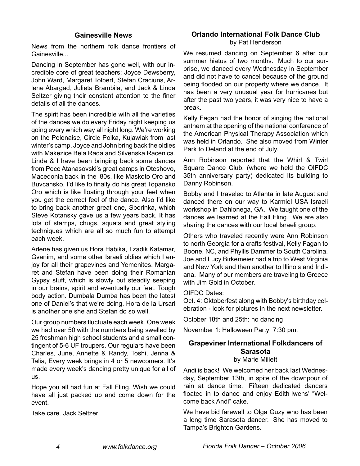### **Gainesville News**

News from the northern folk dance frontiers of Gainesville...

Dancing in September has gone well, with our incredible core of great teachers; Joyce Dewsberry, John Ward, Margaret Tolbert, Stefan Craciuns, Arlene Abargad, Julieta Brambila, and Jack & Linda Seltzer giving their constant attention to the finer details of all the dances.

The spirit has been incredible with all the varieties of the dances we do every Friday night keeping us going every which way all night long. We're working on the Polonaise, Circle Polka, Kujawiak from last winter's camp. Joyce and John bring back the oldies with Makezice Bela Rada and Silvenska Racenica. Linda & I have been bringing back some dances from Pece Atanasovski's great camps in Oteshovo, Macedonia back in the '80s, like Maskoto Oro and Buvcansko. I'd like to finally do his great Topansko Oro which is like floating through your feet when you get the correct feel of the dance. Also I'd like to bring back another great one, Sborinka, which Steve Kotansky gave us a few years back. It has lots of stamps, chugs, squats and great styling techniques which are all so much fun to attempt each week.

Arlene has given us Hora Habika, Tzadik Katamar, Gvanim, and some other Israeli oldies which I enjoy for all their grapevines and Yemenites. Margaret and Stefan have been doing their Romanian Gypsy stuff, which is slowly but steadily seeping in our brains, spirit and eventually our feet. Tough body action. Dumbala Dumba has been the latest one of Daniel's that we're doing. Hora de la Ursari is another one she and Stefan do so well.

Our group numbers fluctuate each week. One week we had over 50 with the numbers being swelled by 25 freshman high school students and a small contingent of 5-6 UF troupers. Our regulars have been Charles, June, Annette & Randy, Toshi, Jenna & Talia, Every week brings in 4 or 5 newcomers. It's made every week's dancing pretty unique for all of us.

Hope you all had fun at Fall Fling. Wish we could have all just packed up and come down for the event.

Take care. Jack Seltzer

#### **Orlando International Folk Dance Club** by Pat Henderson

We resumed dancing on September 6 after our summer hiatus of two months. Much to our surprise, we danced every Wednesday in September and did not have to cancel because of the ground being flooded on our property where we dance. It has been a very unusual year for hurricanes but after the past two years, it was very nice to have a break.

Kelly Fagan had the honor of singing the national anthem at the opening of the national conference of the American Physical Therapy Association which was held in Orlando. She also moved from Winter Park to Deland at the end of July.

Ann Robinson reported that the Whirl & Twirl Square Dance Club, (where we held the OIFDC 35th anniversary party) dedicated its building to Danny Robinson.

Bobby and I traveled to Atlanta in late August and danced there on our way to Karmiel USA Israeli workshop in Dahlonega, GA. We taught one of the dances we learned at the Fall Fling. We are also sharing the dances with our local Israeli group.

Others who traveled recently were Ann Robinson to north Georgia for a crafts festival, Kelly Fagan to Boone, NC, and Phyllis Dammer to South Carolina. Joe and Lucy Birkemeier had a trip to West Virginia and New York and then another to Illinois and Indiana. Many of our members are traveling to Greece with Jim Gold in October.

#### OIFDC Dates:

Oct. 4: Oktoberfest along with Bobby's birthday celebration - look for pictures in the next newsletter.

October 18th and 25th: no dancing

November 1: Halloween Party 7:30 pm.

# **Grapeviner International Folkdancers of Sarasota**

by Marie Millett

Andi is back! We welcomed her back last Wednesday, September 13th, in spite of the downpour of rain at dance time. Fifteen dedicated dancers floated in to dance and enjoy Edith Iwens' "Welcome back Andi" cake.

We have bid farewell to Olga Guzy who has been a long time Sarasota dancer. She has moved to Tampa's Brighton Gardens.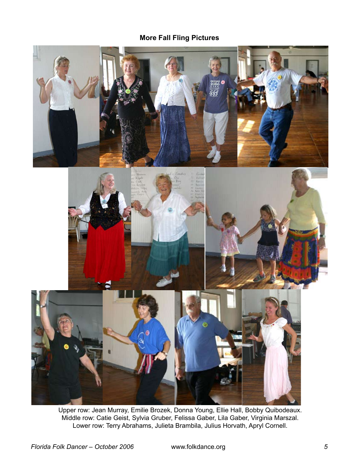# **More Fall Fling Pictures**



Upper row: Jean Murray, Emilie Brozek, Donna Young, Ellie Hall, Bobby Quibodeaux. Middle row: Catie Geist, Sylvia Gruber, Felissa Gaber, Lila Gaber, Virginia Marszal. Lower row: Terry Abrahams, Julieta Brambila, Julius Horvath, Apryl Cornell.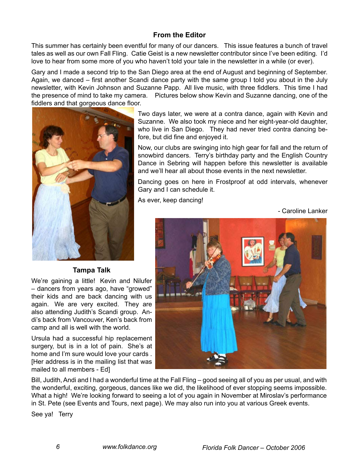# **From the Editor**

This summer has certainly been eventful for many of our dancers. This issue features a bunch of travel tales as well as our own Fall Fling. Catie Geist is a new newsletter contributor since I've been editing. I'd love to hear from some more of you who haven't told your tale in the newsletter in a while (or ever).

Gary and I made a second trip to the San Diego area at the end of August and beginning of September. Again, we danced – first another Scandi dance party with the same group I told you about in the July newsletter, with Kevin Johnson and Suzanne Papp. All live music, with three fiddlers. This time I had the presence of mind to take my camera. Pictures below show Kevin and Suzanne dancing, one of the fiddlers and that gorgeous dance floor.



**Tampa Talk**

We're gaining a little! Kevin and Nilufer – dancers from years ago, have "growed" their kids and are back dancing with us again. We are very excited. They are also attending Judith's Scandi group. Andi's back from Vancouver, Ken's back from camp and all is well with the world.

Ursula had a successful hip replacement surgery, but is in a lot of pain. She's at home and I'm sure would love your cards . [Her address is in the mailing list that was mailed to all members - Ed]

Two days later, we were at a contra dance, again with Kevin and Suzanne. We also took my niece and her eight-year-old daughter, who live in San Diego. They had never tried contra dancing before, but did fine and enjoyed it.

Now, our clubs are swinging into high gear for fall and the return of snowbird dancers. Terry's birthday party and the English Country Dance in Sebring will happen before this newsletter is available and we'll hear all about those events in the next newsletter.

Dancing goes on here in Frostproof at odd intervals, whenever Gary and I can schedule it.

As ever, keep dancing!

- Caroline Lanker



Bill, Judith, Andi and I had a wonderful time at the Fall Fling – good seeing all of you as per usual, and with the wonderful, exciting, gorgeous, dances like we did, the likelihood of ever stopping seems impossible. What a high! We're looking forward to seeing a lot of you again in November at Miroslav's performance in St. Pete (see Events and Tours, next page). We may also run into you at various Greek events.

See ya! Terry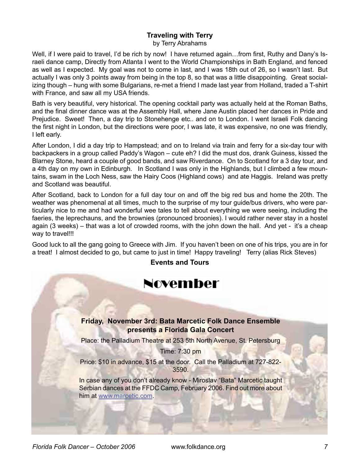#### **Traveling with Terry** by Terry Abrahams

Well, if I were paid to travel, I'd be rich by now! I have returned again...from first, Ruthy and Dany's Israeli dance camp, Directly from Atlanta I went to the World Championships in Bath England, and fenced as well as I expected. My goal was not to come in last, and I was 18th out of 26, so I wasn't last. But actually I was only 3 points away from being in the top 8, so that was a little disappointing. Great socializing though – hung with some Bulgarians, re-met a friend I made last year from Holland, traded a T-shirt with France, and saw all my USA friends.

Bath is very beautiful, very historical. The opening cocktail party was actually held at the Roman Baths, and the final dinner dance was at the Assembly Hall, where Jane Austin placed her dances in Pride and Prejudice. Sweet! Then, a day trip to Stonehenge etc.. and on to London. I went Israeli Folk dancing the first night in London, but the directions were poor, I was late, it was expensive, no one was friendly, I left early.

After London, I did a day trip to Hampstead; and on to Ireland via train and ferry for a six-day tour with backpackers in a group called Paddy's Wagon – cute eh? I did the must dos, drank Guiness, kissed the Blarney Stone, heard a couple of good bands, and saw Riverdance. On to Scotland for a 3 day tour, and a 4th day on my own in Edinburgh. In Scotland I was only in the Highlands, but I climbed a few mountains, swam in the Loch Ness, saw the Hairy Coos (Highland cows) and ate Haggis. Ireland was pretty and Scotland was beautiful.

After Scotland, back to London for a full day tour on and off the big red bus and home the 20th. The weather was phenomenal at all times, much to the surprise of my tour guide/bus drivers, who were particularly nice to me and had wonderful wee tales to tell about everything we were seeing, including the faeries, the leprechauns, and the brownies (pronounced broonies). I would rather never stay in a hostel again (3 weeks) – that was a lot of crowded rooms, with the john down the hall. And yet - it's a cheap way to travel!!!

Good luck to all the gang going to Greece with Jim. If you haven't been on one of his trips, you are in for a treat! I almost decided to go, but came to just in time! Happy traveling! Terry (alias Rick Steves)

# **Events and Tours**